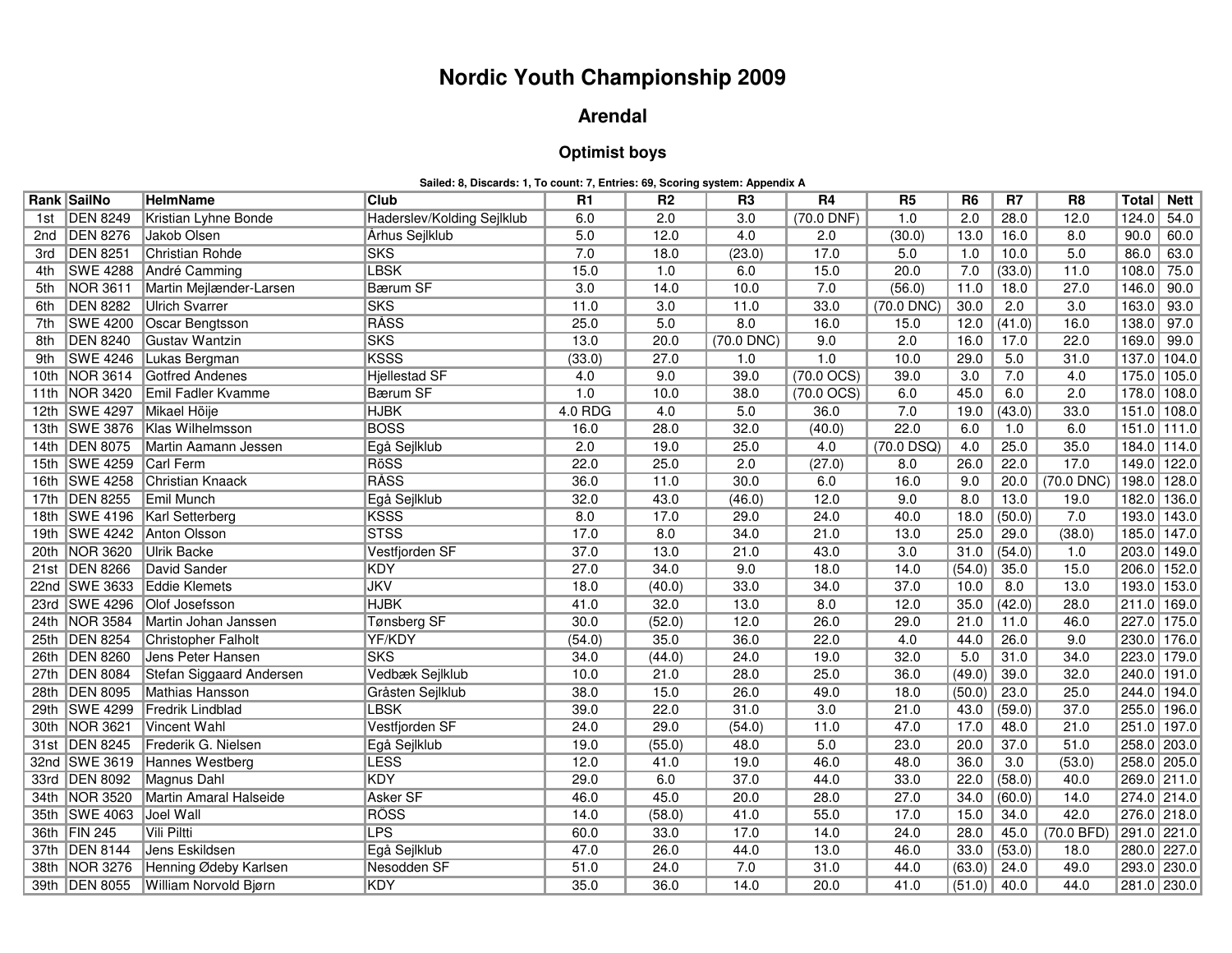## **Nordic Youth Championship 2009**

## **Arendal**

## **Optimist boys**

**Sailed: 8, Discards: 1, To count: 7, Entries: 69, Scoring system: Appendix A**

|      | Rank SailNo             | HelmName                       | <b>Club</b>                | R <sub>1</sub>   | R <sub>2</sub>   | R <sub>3</sub>   | R4                      | R <sub>5</sub>   | R <sub>6</sub> | R <sub>7</sub> | R <sub>8</sub>   | Total | <b>Nett</b>     |
|------|-------------------------|--------------------------------|----------------------------|------------------|------------------|------------------|-------------------------|------------------|----------------|----------------|------------------|-------|-----------------|
| 1st  | <b>DEN 8249</b>         | Kristian Lyhne Bonde           | Haderslev/Kolding Sejlklub | 6.0              | 2.0              | $\overline{3.0}$ | $(70.0$ DNF)            | 1.0              | 2.0            | 28.0           | 12.0             | 124.0 | 54.0            |
| 2nd  | <b>DEN 8276</b>         | Jakob Olsen                    | <b>Århus Sejlklub</b>      | 5.0              | 12.0             | 4.0              | 2.0                     | (30.0)           | 13.0           | 16.0           | 8.0              | 90.0  | 60.0            |
| 3rd  | <b>DEN 8251</b>         | <b>Christian Rohde</b>         | <b>SKS</b>                 | 7.0              | 18.0             | (23.0)           | 17.0                    | 5.0              | 1.0            | 10.0           | 5.0              | 86.0  | 63.0            |
| 4th  | <b>SWE 4288</b>         | André Camming                  | <b>LBSK</b>                | 15.0             | 1.0              | 6.0              | 15.0                    | 20.0             | 7.0            | (33.0)         | 11.0             | 108.0 | 75.0            |
| 5th  | <b>NOR 3611</b>         | Martin Mejlænder-Larsen        | <b>Bærum SF</b>            | $\overline{3.0}$ | 14.0             | 10.0             | 7.0                     | (56.0)           | 11.0           | 18.0           | 27.0             | 146.0 | 90.0            |
| 6th  | <b>DEN 8282</b>         | <b>Ulrich Svarrer</b>          | <b>SKS</b>                 | 11.0             | 3.0              | 11.0             | 33.0                    | $(70.0$ DNC)     | 30.0           | 2.0            | $\overline{3.0}$ | 163.0 | 93.0            |
| 7th  | <b>SWE 4200</b>         | Oscar Bengtsson                | RÅSS                       | 25.0             | $\overline{5.0}$ | 8.0              | 16.0                    | 15.0             | 12.0           | (41.0)         | 16.0             | 138.0 | 97.0            |
| 8th  | <b>DEN 8240</b>         | Gustav Wantzin                 | <b>SKS</b>                 | 13.0             | 20.0             | $(70.0$ DNC)     | 9.0                     | 2.0              | 16.0           | 17.0           | 22.0             |       | 169.0 99.0      |
| 9th  | <b>SWE 4246</b>         | Lukas Bergman                  | <b>KSSS</b>                | (33.0)           | 27.0             | 1.0              | 1.0                     | 10.0             | 29.0           | 5.0            | 31.0             |       | 137.0 104.0     |
| 10th | <b>NOR 3614</b>         | Gotfred Andenes                | <b>Hjellestad SF</b>       | 4.0              | 9.0              | 39.0             | $(70.0 \text{ OCS})$    | 39.0             | 3.0            | 7.0            | 4.0              |       | 175.0 105.0     |
| 11th | NOR 3420                | Emil Fadler Kvamme             | Bærum SF                   | 1.0              | 10.0             | 38.0             | $(70.0 \,\mathrm{OCS})$ | 6.0              | 45.0           | 6.0            | 2.0              |       | 178.0 108.0     |
|      | 12th SWE 4297           | Mikael Höije                   | <b>HJBK</b>                | 4.0 RDG          | 4.0              | 5.0              | 36.0                    | 7.0              | 19.0           | (43.0)         | 33.0             |       | 151.0 108.0     |
|      |                         | 13th SWE 3876 Klas Wilhelmsson | <b>BOSS</b>                | 16.0             | 28.0             | 32.0             | (40.0)                  | 22.0             | 6.0            | 1.0            | 6.0              |       | $151.0$   111.0 |
|      | 14th   DEN 8075         | Martin Aamann Jessen           | Egå Sejlklub               | 2.0              | 19.0             | 25.0             | 4.0                     | $(70.0$ DSQ)     | 4.0            | 25.0           | 35.0             |       | 184.0 114.0     |
|      | 15th SWE 4259           | Carl Ferm                      | RöSS                       | 22.0             | 25.0             | 2.0              | (27.0)                  | 8.0              | 26.0           | 22.0           | 17.0             |       | 149.0 122.0     |
|      | 16th SWE 4258           | Christian Knaack               | <b>RÅSS</b>                | 36.0             | 11.0             | 30.0             | 6.0                     | 16.0             | 9.0            | 20.0           | $(70.0$ DNC)     |       | 198.0 128.0     |
|      | 17th DEN 8255           | <b>Emil Munch</b>              | Egå Sejlklub               | 32.0             | 43.0             | (46.0)           | 12.0                    | 9.0              | 8.0            | 13.0           | 19.0             |       | 182.0 136.0     |
|      | 18th SWE 4196           | Karl Setterberg                | KSSS                       | 8.0              | 17.0             | 29.0             | 24.0                    | 40.0             | 18.0           | (50.0)         | 7.0              |       | 193.0 143.0     |
|      |                         | 19th SWE 4242 Anton Olsson     | <b>STSS</b>                | 17.0             | 8.0              | 34.0             | 21.0                    | 13.0             | 25.0           | 29.0           | (38.0)           |       | 185.0 147.0     |
|      | 20th NOR 3620           | Ulrik Backe                    | Vestfjorden SF             | 37.0             | 13.0             | 21.0             | 43.0                    | $\overline{3.0}$ | 31.0           | (54.0)         | 1.0              |       | 203.0 149.0     |
|      | 21st DEN 8266           | David Sander                   | KDY                        | 27.0             | 34.0             | 9.0              | 18.0                    | 14.0             | (54.0)         | 35.0           | 15.0             |       | 206.0 152.0     |
|      | 22nd SWE 3633           | Eddie Klemets                  | <b>JKV</b>                 | 18.0             | (40.0)           | 33.0             | 34.0                    | 37.0             | 10.0           | 8.0            | 13.0             |       | 193.0 153.0     |
|      | 23rd SWE 4296           | <b>Olof Josefsson</b>          | <b>HJBK</b>                | 41.0             | 32.0             | 13.0             | 8.0                     | 12.0             | 35.0           | (42.0)         | 28.0             |       | 211.0 169.0     |
|      | 24th NOR 3584           | Martin Johan Janssen           | Tønsberg SF                | 30.0             | (52.0)           | 12.0             | 26.0                    | 29.0             | 21.0           | 11.0           | 46.0             |       | 227.0 175.0     |
|      | 25th DEN 8254           | Christopher Falholt            | YF/KDY                     | (54.0)           | 35.0             | 36.0             | 22.0                    | 4.0              | 44.0           | 26.0           | 9.0              |       | 230.0 176.0     |
|      | 26th DEN 8260           | Jens Peter Hansen              | <b>SKS</b>                 | 34.0             | (44.0)           | 24.0             | 19.0                    | 32.0             | 5.0            | 31.0           | 34.0             |       | 223.0 179.0     |
|      | 27th DEN 8084           | Stefan Siggaard Andersen       | Vedbæk Sejlklub            | 10.0             | 21.0             | 28.0             | 25.0                    | 36.0             | (49.0)         | 39.0           | 32.0             |       | 240.0 191.0     |
|      | 28th DEN 8095           | Mathias Hansson                | Gråsten Sejlklub           | 38.0             | 15.0             | 26.0             | 49.0                    | 18.0             | (50.0)         | 23.0           | 25.0             |       | 244.0 194.0     |
|      | 29th SWE 4299           | <b>Fredrik Lindblad</b>        | <b>LBSK</b>                | 39.0             | 22.0             | 31.0             | $\overline{3.0}$        | 21.0             | 43.0           | (59.0)         | 37.0             |       | 255.0 196.0     |
|      | 30th NOR 3621           | Vincent Wahl                   | Vestfjorden SF             | 24.0             | 29.0             | (54.0)           | 11.0                    | 47.0             | 17.0           | 48.0           | 21.0             |       | 251.0 197.0     |
|      | 31st DEN 8245           | Frederik G. Nielsen            | Egå Sejlklub               | 19.0             | (55.0)           | 48.0             | $\overline{5.0}$        | 23.0             | 20.0           | 37.0           | 51.0             |       | 258.0 203.0     |
|      | 32nd SWE 3619           | Hannes Westberg                | <b>LESS</b>                | 12.0             | 41.0             | 19.0             | 46.0                    | 48.0             | 36.0           | 3.0            | (53.0)           |       | 258.0 205.0     |
|      | 33rd DEN 8092           | Magnus Dahl                    | <b>KDY</b>                 | 29.0             | 6.0              | 37.0             | 44.0                    | 33.0             | 22.0           | (58.0)         | 40.0             |       | 269.0 211.0     |
|      | 34th NOR 3520           | Martin Amaral Halseide         | Asker SF                   | 46.0             | 45.0             | 20.0             | 28.0                    | 27.0             | 34.0           | (60.0)         | 14.0             |       | 274.0 214.0     |
|      | 35th SWE 4063 Joel Wall |                                | RÖSS                       | 14.0             | (58.0)           | 41.0             | 55.0                    | 17.0             | 15.0           | 34.0           | 42.0             |       | 276.0 218.0     |
|      | 36th FIN 245            | Vili Piltti                    | <b>LPS</b>                 | 60.0             | 33.0             | 17.0             | 14.0                    | 24.0             | 28.0           | 45.0           | (70.0 BFD)       |       | 291.0 221.0     |
|      | 37th DEN 8144           | Jens Eskildsen                 | Egå Sejlklub               | 47.0             | 26.0             | 44.0             | 13.0                    | 46.0             | 33.0           | (53.0)         | 18.0             |       | 280.0 227.0     |
|      | 38th NOR 3276           | Henning Ødeby Karlsen          | Nesodden SF                | 51.0             | 24.0             | 7.0              | 31.0                    | 44.0             | (63.0)         | 24.0           | 49.0             |       | 293.0 230.0     |
|      | 39th DEN 8055           | <b>William Norvold Bjørn</b>   | KDY                        | 35.0             | 36.0             | 14.0             | 20.0                    | 41.0             | (51.0)         | 40.0           | 44.0             |       | 281.0 230.0     |